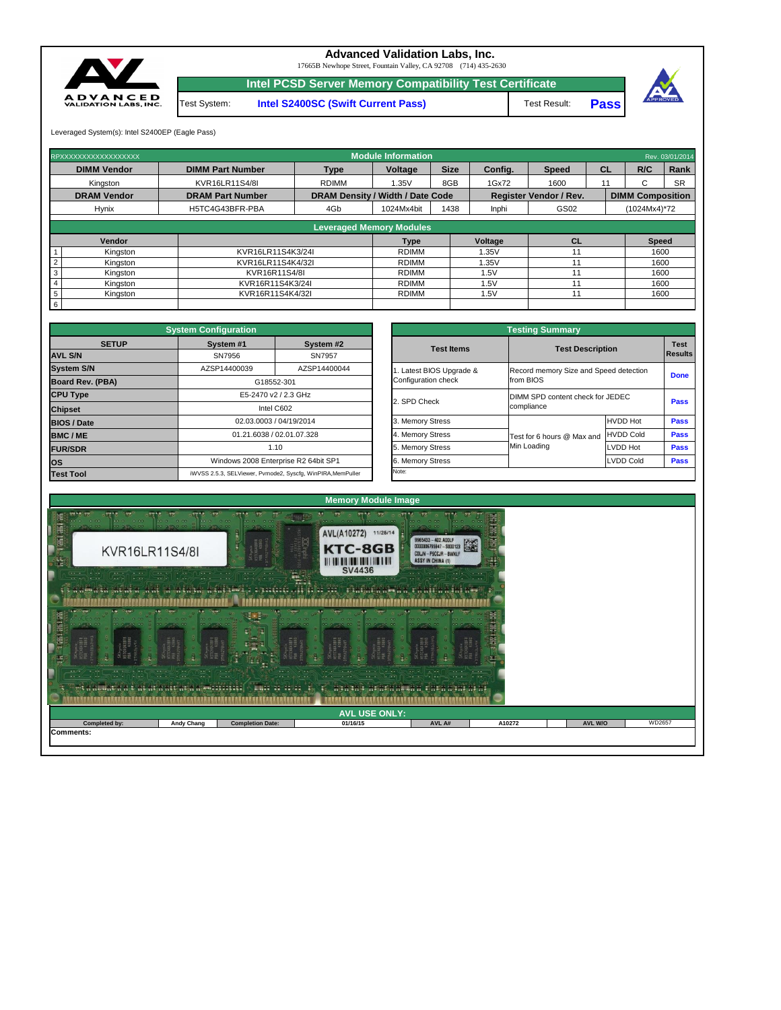| $\cdots$ $\cdots$ $\cdots$ $\cdots$ $\cdots$ $\cdots$ $\cdots$ $\cdots$ $\cdots$ $\cdots$ $\cdots$ $\cdots$ $\cdots$ $\cdots$ $\cdots$ $\cdots$ $\cdots$ $\cdots$ $\cdots$ $\cdots$ $\cdots$ $\cdots$ $\cdots$ $\cdots$ $\cdots$ $\cdots$ $\cdots$ $\cdots$ $\cdots$ $\cdots$ $\cdots$ $\cdots$ $\cdots$ $\cdots$ $\cdots$ $\cdots$ $\cdots$<br>$-1.1$<br>. <u>.</u><br>$\cdots$<br>$\cdots$<br><b>Experience</b> in the problem of<br>$\sim$ $\sim$<br>$\sqrt{2}$<br>$10 - 7 - 6$<br>$\sim \cdot \cdot$ . $\sim$ .<br>$-1$<br>Aetaalumaa bajara magaala asimin (lumaan<br>The newslett masses in the second masses in the |                   |                         |          |        |        |                |        |  |  |  |
|----------------------------------------------------------------------------------------------------------------------------------------------------------------------------------------------------------------------------------------------------------------------------------------------------------------------------------------------------------------------------------------------------------------------------------------------------------------------------------------------------------------------------------------------------------------------------------------------------------------------------|-------------------|-------------------------|----------|--------|--------|----------------|--------|--|--|--|
| <b>AVL USE ONLY:</b>                                                                                                                                                                                                                                                                                                                                                                                                                                                                                                                                                                                                       |                   |                         |          |        |        |                |        |  |  |  |
| Completed by:                                                                                                                                                                                                                                                                                                                                                                                                                                                                                                                                                                                                              | <b>Andy Chang</b> | <b>Completion Date:</b> | 01/16/15 | AVL A# | A10272 | <b>AVL W/O</b> | WD2657 |  |  |  |



|              | <b>System Configuration</b> |                                                             |                         | <b>Testing Summary</b>                 |                                  |                |  |  |
|--------------|-----------------------------|-------------------------------------------------------------|-------------------------|----------------------------------------|----------------------------------|----------------|--|--|
| <b>SETUP</b> | System #1                   | System #2                                                   | <b>Test Items</b>       | <b>Test Description</b>                |                                  | <b>Test</b>    |  |  |
|              | SN7956                      | SN7957                                                      |                         |                                        |                                  | <b>Results</b> |  |  |
|              | AZSP14400039                | AZSP14400044                                                | . Latest BIOS Upgrade & | Record memory Size and Speed detection |                                  |                |  |  |
| <b>BA)</b>   |                             | G18552-301                                                  | Configuration check     | from BIOS                              | <b>Done</b>                      |                |  |  |
|              |                             | E5-2470 v2 / 2.3 GHz                                        |                         |                                        | DIMM SPD content check for JEDEC |                |  |  |
|              |                             | Intel C602                                                  | 2. SPD Check            | compliance                             | <b>Pass</b>                      |                |  |  |
|              |                             | 02.03.0003 / 04/19/2014                                     | 3. Memory Stress        |                                        | <b>HVDD Hot</b>                  | <b>Pass</b>    |  |  |
|              |                             | 01.21.6038 / 02.01.07.328                                   | 4. Memory Stress        | Test for 6 hours @ Max and             | <b>HVDD Cold</b>                 | <b>Pass</b>    |  |  |
|              |                             | 1.10                                                        | 5. Memory Stress        | Min Loading                            | <b>LVDD Hot</b>                  | <b>Pass</b>    |  |  |
|              |                             | Windows 2008 Enterprise R2 64bit SP1                        | 6. Memory Stress        |                                        | <b>LVDD Cold</b>                 | <b>Pass</b>    |  |  |
|              |                             | iWVSS 2.5.3. SELViewer, Pymode2, Syscfa, WinPIRA, MemPuller | Note:                   |                                        |                                  |                |  |  |

|                         | <b>System Configuration</b> |                                                             |  | <b>Testing Summary</b>   |                                  |                                        |             |  |  |
|-------------------------|-----------------------------|-------------------------------------------------------------|--|--------------------------|----------------------------------|----------------------------------------|-------------|--|--|
| <b>SETUP</b>            | System #1                   | System #2                                                   |  | <b>Test Items</b>        | <b>Test Description</b>          |                                        | <b>Test</b> |  |  |
| <b>AVL S/N</b>          | SN7956                      | SN7957                                                      |  |                          |                                  |                                        |             |  |  |
| <b>System S/N</b>       | AZSP14400039                | AZSP14400044                                                |  | 1. Latest BIOS Upgrade & |                                  | Record memory Size and Speed detection |             |  |  |
| <b>Board Rev. (PBA)</b> |                             | G18552-301                                                  |  | Configuration check      | from BIOS                        | <b>Done</b>                            |             |  |  |
| <b>CPU Type</b>         |                             | E5-2470 v2 / 2.3 GHz                                        |  |                          | DIMM SPD content check for JEDEC |                                        |             |  |  |
| <b>Chipset</b>          |                             | Intel C602                                                  |  | 2. SPD Check             | compliance                       |                                        |             |  |  |
| <b>BIOS / Date</b>      |                             | 02.03.0003 / 04/19/2014                                     |  | 3. Memory Stress         |                                  | <b>HVDD Hot</b>                        | <b>Pass</b> |  |  |
| <b>BMC/ME</b>           |                             | 01.21.6038 / 02.01.07.328                                   |  | 4. Memory Stress         | Test for 6 hours @ Max and       | HVDD Cold                              | <b>Pass</b> |  |  |
| <b>FUR/SDR</b>          |                             | 1.10                                                        |  | 5. Memory Stress         | Min Loading                      | <b>LVDD Hot</b>                        | <b>Pass</b> |  |  |
| <b>los</b>              |                             | Windows 2008 Enterprise R2 64bit SP1                        |  | 6. Memory Stress         |                                  | <b>LVDD Cold</b>                       | <b>Pass</b> |  |  |
| <b>Test Tool</b>        |                             | iWVSS 2.5.3, SELViewer, Pvmode2, Syscfg, WinPIRA, MemPuller |  | Note:                    |                                  |                                        |             |  |  |

|     | Vendor   |                   | <b>Type</b>  | <b>Voltage</b> | ◡∟ | <b>Speed</b> |
|-----|----------|-------------------|--------------|----------------|----|--------------|
|     | Kingston | KVR16LR11S4K3/24I | <b>RDIMM</b> | .35V           |    | 1600         |
|     | Kingston | KVR16LR11S4K4/32I | <b>RDIMM</b> | .35V           |    | 1600         |
|     | Kingston | KVR16R11S4/8I     | <b>RDIMM</b> | .5V            |    | 1600         |
|     | Kingston | KVR16R11S4K3/24I  | <b>RDIMM</b> | .5V            |    | 1600         |
|     | Kingston | KVR16R11S4K4/32I  | <b>RDIMM</b> | .5V            |    | 1600         |
| - 6 |          |                   |              |                |    |              |

**Pass**



| RPXXXXXXXXXXXXXXXXXX | <b>Module Information</b>       |              |                                         |             |         |                               |           |                         |              |  |  |  |
|----------------------|---------------------------------|--------------|-----------------------------------------|-------------|---------|-------------------------------|-----------|-------------------------|--------------|--|--|--|
| <b>DIMM Vendor</b>   | <b>DIMM Part Number</b>         | <b>Type</b>  | <b>Voltage</b>                          | <b>Size</b> | Config. | <b>Speed</b>                  | <b>CL</b> | R/C                     | Rank         |  |  |  |
| Kingston             | KVR16LR11S4/8I                  | <b>RDIMM</b> | 1.35V                                   | 8GB         | 1Gx72   | 1600                          | 11        |                         | <b>SR</b>    |  |  |  |
| <b>DRAM Vendor</b>   | <b>DRAM Part Number</b>         |              | <b>DRAM Density / Width / Date Code</b> |             |         | <b>Register Vendor / Rev.</b> |           | <b>DIMM Composition</b> |              |  |  |  |
| <b>Hynix</b>         | H5TC4G43BFR-PBA                 | 4Gb          | 1024Mx4bit                              | 1438        | Inphi   | GS02                          |           | $(1024Mx4)*72$          |              |  |  |  |
|                      | <b>Leveraged Memory Modules</b> |              |                                         |             |         |                               |           |                         |              |  |  |  |
| Vendor               |                                 |              | Type                                    |             | Voltage | <b>CL</b>                     |           |                         | <b>Speed</b> |  |  |  |
|                      |                                 |              |                                         |             |         |                               |           |                         |              |  |  |  |

17665B Newhope Street, Fountain Valley, CA 92708 (714) 435-2630

**Intel PCSD Server Memory Compatibility Test Certificate**

Test System: **Intel S2400SC (Swift Current Pass)** Test Result:

Leveraged System(s): Intel S2400EP (Eagle Pass)



## **Advanced Validation Labs, Inc.**